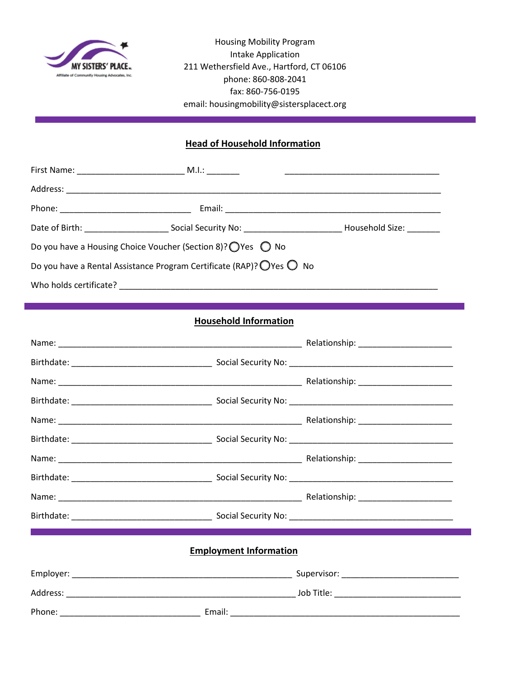

Housing Mobility Program Intake Application 211 Wethersfield Ave., Hartford, CT 06106 phone: 860-808-2041 fax: 860-756-0195 email: housingmobility@sistersplacect.org

## **Head of Household Information**

|                        |                                                                       | Household Size: _____ |
|------------------------|-----------------------------------------------------------------------|-----------------------|
|                        | Do you have a Housing Choice Voucher (Section 8)? ○ Yes ○ No          |                       |
|                        | Do you have a Rental Assistance Program Certificate (RAP)? O Yes ○ No |                       |
| Who holds certificate? |                                                                       |                       |

## **Household Information**

| <b>Employment Information</b> |  |
|-------------------------------|--|
|                               |  |
|                               |  |
|                               |  |